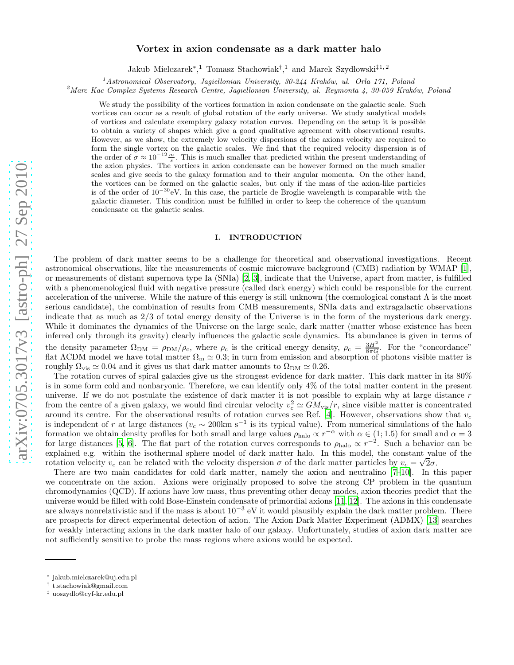# arXiv:0705.3017v3 [astro-ph] 27 Sep 2010 [arXiv:0705.3017v3 \[astro-ph\] 27 Sep 2010](http://arxiv.org/abs/0705.3017v3)

# Vortex in axion condensate as a dark matter halo

Jakub Mielczarek<sup>∗</sup>,<sup>1</sup> Tomasz Stachowiak<sup>†</sup>,<sup>1</sup> and Marek Szydłowski<sup>‡1,2</sup>

 $1/4$ stronomical Observatory, Jagiellonian University, 30-244 Kraków, ul. Orla 171, Poland

 $^{2}$ Marc Kac Complex Systems Research Centre, Jagiellonian University, ul. Reymonta 4, 30-059 Kraków, Poland

We study the possibility of the vortices formation in axion condensate on the galactic scale. Such vortices can occur as a result of global rotation of the early universe. We study analytical models of vortices and calculate exemplary galaxy rotation curves. Depending on the setup it is possible to obtain a variety of shapes which give a good qualitative agreement with observational results. However, as we show, the extremely low velocity dispersions of the axions velocity are required to form the single vortex on the galactic scales. We find that the required velocity dispersion is of the order of  $\sigma \approx 10^{-12} \frac{m}{s}$ . This is much smaller that predicted within the present understanding of the axion physics. The vortices in axion condensate can be however formed on the much smaller scales and give seeds to the galaxy formation and to their angular momenta. On the other hand, the vortices can be formed on the galactic scales, but only if the mass of the axion-like particles is of the order of  $10^{-30}$ eV. In this case, the particle de Broglie wavelength is comparable with the galactic diameter. This condition must be fulfilled in order to keep the coherence of the quantum condensate on the galactic scales.

# I. INTRODUCTION

The problem of dark matter seems to be a challenge for theoretical and observational investigations. Recent astronomical observations, like the measurements of cosmic microwave background (CMB) radiation by WMAP [\[1\]](#page-7-0), or measurements of distant supernova type Ia (SNIa) [\[2,](#page-7-1) [3\]](#page-7-2), indicate that the Universe, apart from matter, is fulfilled with a phenomenological fluid with negative pressure (called dark energy) which could be responsible for the current acceleration of the universe. While the nature of this energy is still unknown (the cosmological constant  $\Lambda$  is the most serious candidate), the combination of results from CMB measurements, SNIa data and extragalactic observations indicate that as much as 2/3 of total energy density of the Universe is in the form of the mysterious dark energy. While it dominates the dynamics of the Universe on the large scale, dark matter (matter whose existence has been inferred only through its gravity) clearly influences the galactic scale dynamics. Its abundance is given in terms of the density parameter  $\Omega_{\text{DM}} = \rho_{\text{DM}}/\rho_c$ , where  $\rho_c$  is the critical energy density,  $\rho_c = \frac{3H^2}{8\pi G}$ . For the "concordance" flat  $\Lambda$ CDM model we have total matter  $\Omega_{\rm m} \simeq 0.3$ ; in turn from emission and absorption of photons visible matter is roughly  $\Omega_{\text{vis}} \simeq 0.04$  and it gives us that dark matter amounts to  $\Omega_{\text{DM}} \simeq 0.26$ .

The rotation curves of spiral galaxies give us the strongest evidence for dark matter. This dark matter in its 80% is in some form cold and nonbaryonic. Therefore, we can identify only 4% of the total matter content in the present universe. If we do not postulate the existence of dark matter it is not possible to explain why at large distance  $r$ from the centre of a given galaxy, we would find circular velocity  $v_c^2 \simeq GM_{\text{vis}}/r$ , since visible matter is concentrated around its centre. For the observational results of rotation curves see Ref. [\[4\]](#page-7-3). However, observations show that  $v_c$ is independent of r at large distances ( $v_c \sim 200 \text{km s}^{-1}$  is its typical value). From numerical simulations of the halo formation we obtain density profiles for both small and large values  $\rho_{\text{halo}} \propto r^{-\alpha}$  with  $\alpha \in (1, 1.5)$  for small and  $\alpha = 3$ for large distances [\[5,](#page-7-4) [6\]](#page-7-5). The flat part of the rotation curves corresponds to  $\rho_{\text{halo}} \propto r^{-2}$ . Such a behavior can be explained e.g. within the isothermal sphere model of dark matter halo. In this model, the constant value of the rotation velocity  $v_c$  can be related with the velocity dispersion  $\sigma$  of the dark matter particles by  $v_c = \sqrt{2}\sigma$ .

There are two main candidates for cold dark matter, namely the axion and neutralino [\[7](#page-7-6)[–10\]](#page-7-7). In this paper we concentrate on the axion. Axions were originally proposed to solve the strong CP problem in the quantum chromodynamics (QCD). If axions have low mass, thus preventing other decay modes, axion theories predict that the universe would be filled with cold Bose-Einstein condensate of primordial axions [\[11,](#page-7-8) [12\]](#page-7-9). The axions in this condensate are always nonrelativistic and if the mass is about  $10^{-3}$  eV it would plausibly explain the dark matter problem. There are prospects for direct experimental detection of axion. The Axion Dark Matter Experiment (ADMX) [\[13\]](#page-7-10) searches for weakly interacting axions in the dark matter halo of our galaxy. Unfortunately, studies of axion dark matter are not sufficiently sensitive to probe the mass regions where axions would be expected.

<sup>∗</sup> jakub.mielczarek@uj.edu.pl

<sup>†</sup> t.stachowiak@gmail.com

<sup>‡</sup> uoszydlo@cyf-kr.edu.pl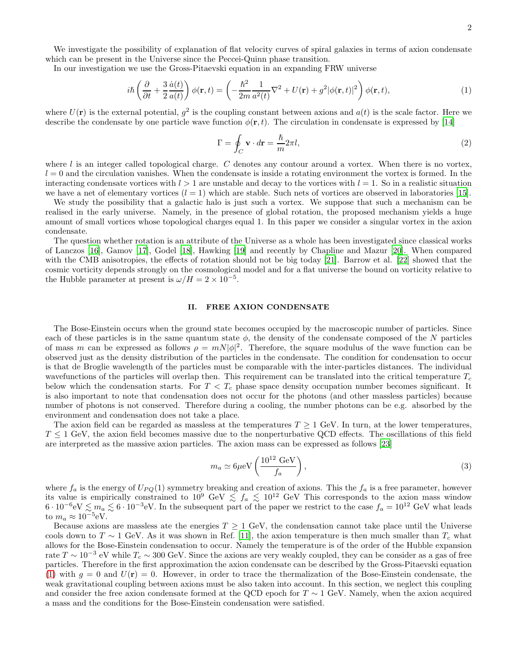We investigate the possibility of explanation of flat velocity curves of spiral galaxies in terms of axion condensate which can be present in the Universe since the Peccei-Quinn phase transition.

In our investigation we use the Gross-Pitaevski equation in an expanding FRW universe

<span id="page-1-0"></span>
$$
i\hbar \left(\frac{\partial}{\partial t} + \frac{3}{2} \frac{\dot{a}(t)}{a(t)}\right) \phi(\mathbf{r}, t) = \left(-\frac{\hbar^2}{2m} \frac{1}{a^2(t)} \nabla^2 + U(\mathbf{r}) + g^2 |\phi(\mathbf{r}, t)|^2\right) \phi(\mathbf{r}, t),\tag{1}
$$

where  $U(\mathbf{r})$  is the external potential,  $g^2$  is the coupling constant between axions and  $a(t)$  is the scale factor. Here we describe the condensate by one particle wave function  $\phi(\mathbf{r}, t)$ . The circulation in condensate is expressed by [\[14\]](#page-7-11)

$$
\Gamma = \oint_C \mathbf{v} \cdot d\mathbf{r} = \frac{\hbar}{m} 2\pi l,\tag{2}
$$

where  $l$  is an integer called topological charge. C denotes any contour around a vortex. When there is no vortex,  $l = 0$  and the circulation vanishes. When the condensate is inside a rotating environment the vortex is formed. In the interacting condensate vortices with  $l > 1$  are unstable and decay to the vortices with  $l = 1$ . So in a realistic situation we have a net of elementary vortices  $(l = 1)$  which are stable. Such nets of vortices are observed in laboratories [\[15](#page-7-12)].

We study the possibility that a galactic halo is just such a vortex. We suppose that such a mechanism can be realised in the early universe. Namely, in the presence of global rotation, the proposed mechanism yields a huge amount of small vortices whose topological charges equal 1. In this paper we consider a singular vortex in the axion condensate.

The question whether rotation is an attribute of the Universe as a whole has been investigated since classical works of Lanczos [\[16](#page-7-13)], Gamov [\[17\]](#page-7-14), Godel [\[18\]](#page-7-15), Hawking [\[19](#page-7-16)] and recently by Chapline and Mazur [\[20](#page-7-17)]. When compared with the CMB anisotropies, the effects of rotation should not be big today [\[21\]](#page-8-0). Barrow et al. [\[22\]](#page-8-1) showed that the cosmic vorticity depends strongly on the cosmological model and for a flat universe the bound on vorticity relative to the Hubble parameter at present is  $\omega/H = 2 \times 10^{-5}$ .

### II. FREE AXION CONDENSATE

The Bose-Einstein occurs when the ground state becomes occupied by the macroscopic number of particles. Since each of these particles is in the same quantum state  $\phi$ , the density of the condensate composed of the N particles of mass m can be expressed as follows  $\rho = mN|\phi|^2$ . Therefore, the square modulus of the wave function can be observed just as the density distribution of the particles in the condensate. The condition for condensation to occur is that de Broglie wavelength of the particles must be comparable with the inter-particles distances. The individual wavefunctions of the particles will overlap then. This requirement can be translated into the critical temperature  $T_c$ below which the condensation starts. For  $T < T_c$  phase space density occupation number becomes significant. It is also important to note that condensation does not occur for the photons (and other massless particles) because number of photons is not conserved. Therefore during a cooling, the number photons can be e.g. absorbed by the environment and condensation does not take a place.

The axion field can be regarded as massless at the temperatures  $T \geq 1$  GeV. In turn, at the lower temperatures,  $T \leq 1$  GeV, the axion field becomes massive due to the nonperturbative QCD effects. The oscillations of this field are interpreted as the massive axion particles. The axion mass can be expressed as follows [\[23\]](#page-8-2)

$$
m_a \simeq 6\mu\text{eV}\left(\frac{10^{12}\text{ GeV}}{f_a}\right),\tag{3}
$$

where  $f_a$  is the energy of  $U_{PQ}(1)$  symmetry breaking and creation of axions. This the  $f_a$  is a free parameter, however its value is empirically constrained to  $10^9 \text{ GeV} \lesssim f_a \lesssim 10^{12} \text{ GeV}$  This corresponds to the axion mass window  $6 \cdot 10^{-6}$ eV  $\lesssim m_a \lesssim 6 \cdot 10^{-3}$ eV. In the subsequent part of the paper we restrict to the case  $f_a = 10^{12}$  GeV what leads to  $m_a \approx 10^{-5} \text{eV}$ .

Because axions are massless ate the energies  $T \geq 1$  GeV, the condensation cannot take place until the Universe cools down to T ~ 1 GeV. As it was shown in Ref. [\[11\]](#page-7-8), the axion temperature is then much smaller than  $T_c$  what allows for the Bose-Einstein condensation to occur. Namely the temperature is of the order of the Hubble expansion rate  $T \sim 10^{-3}$  eV while  $T_c \sim 300$  GeV. Since the axions are very weakly coupled, they can be consider as a gas of free particles. Therefore in the first approximation the axion condensate can be described by the Gross-Pitaevski equation [\(1\)](#page-1-0) with  $g = 0$  and  $U(\mathbf{r}) = 0$ . However, in order to trace the thermalization of the Bose-Einstein condensate, the weak gravitational coupling between axions must be also taken into account. In this section, we neglect this coupling and consider the free axion condensate formed at the QCD epoch for  $T \sim 1$  GeV. Namely, when the axion acquired a mass and the conditions for the Bose-Einstein condensation were satisfied.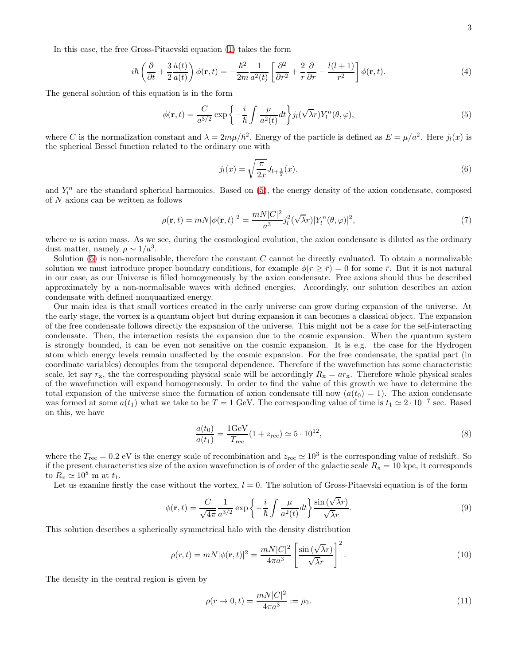In this case, the free Gross-Pitaevski equation [\(1\)](#page-1-0) takes the form

$$
i\hbar \left(\frac{\partial}{\partial t} + \frac{3}{2} \frac{\dot{a}(t)}{a(t)}\right) \phi(\mathbf{r}, t) = -\frac{\hbar^2}{2m} \frac{1}{a^2(t)} \left[\frac{\partial^2}{\partial r^2} + \frac{2}{r} \frac{\partial}{\partial r} - \frac{l(l+1)}{r^2}\right] \phi(\mathbf{r}, t).
$$
 (4)

The general solution of this equation is in the form

<span id="page-2-0"></span>
$$
\phi(\mathbf{r},t) = \frac{C}{a^{3/2}} \exp\left\{-\frac{i}{\hbar} \int \frac{\mu}{a^2(t)} dt\right\} j_l(\sqrt{\lambda}r) Y_l^n(\theta,\varphi),\tag{5}
$$

where C is the normalization constant and  $\lambda = 2m\mu/\hbar^2$ . Energy of the particle is defined as  $E = \mu/a^2$ . Here  $j_l(x)$  is the spherical Bessel function related to the ordinary one with

$$
j_l(x) = \sqrt{\frac{\pi}{2x}} J_{l + \frac{1}{2}}(x).
$$
 (6)

and  $Y_l^n$  are the standard spherical harmonics. Based on [\(5\)](#page-2-0), the energy density of the axion condensate, composed of  $N$  axions can be written as follows

$$
\rho(\mathbf{r},t) = mN|\phi(\mathbf{r},t)|^2 = \frac{mN|C|^2}{a^3}j_l^2(\sqrt{\lambda}r)|Y_l^n(\theta,\varphi)|^2,
$$
\n(7)

where  $m$  is axion mass. As we see, during the cosmological evolution, the axion condensate is diluted as the ordinary dust matter, namely  $\rho \sim 1/a^3$ .

Solution  $(5)$  is non-normalisable, therefore the constant C cannot be directly evaluated. To obtain a normalizable solution we must introduce proper boundary conditions, for example  $\phi(r \geq \bar{r}) = 0$  for some  $\bar{r}$ . But it is not natural in our case, as our Universe is filled homogeneously by the axion condensate. Free axions should thus be described approximately by a non-normalisable waves with defined energies. Accordingly, our solution describes an axion condensate with defined nonquantized energy.

Our main idea is that small vortices created in the early universe can grow during expansion of the universe. At the early stage, the vortex is a quantum object but during expansion it can becomes a classical object. The expansion of the free condensate follows directly the expansion of the universe. This might not be a case for the self-interacting condensate. Then, the interaction resists the expansion due to the cosmic expansion. When the quantum system is strongly bounded, it can be even not sensitive on the cosmic expansion. It is e.g. the case for the Hydrogen atom which energy levels remain unaffected by the cosmic expansion. For the free condensate, the spatial part (in coordinate variables) decouples from the temporal dependence. Therefore if the wavefunction has some characteristic scale, let say  $r_x$ , the the corresponding physical scale will be accordingly  $R_x = ar_x$ . Therefore whole physical scales of the wavefunction will expand homogeneously. In order to find the value of this growth we have to determine the total expansion of the universe since the formation of axion condensate till now  $(a(t_0) = 1)$ . The axion condensate was formed at some  $a(t_1)$  what we take to be  $T = 1$  GeV. The corresponding value of time is  $t_1 \approx 2 \cdot 10^{-7}$  sec. Based on this, we have

$$
\frac{a(t_0)}{a(t_1)} = \frac{1 \text{GeV}}{T_{\text{rec}}} (1 + z_{\text{rec}}) \simeq 5 \cdot 10^{12},\tag{8}
$$

where the  $T_{\text{rec}} = 0.2 \text{ eV}$  is the energy scale of recombination and  $z_{\text{rec}} \approx 10^3$  is the corresponding value of redshift. So if the present characteristics size of the axion wavefunction is of order of the galactic scale  $R_x = 10$  kpc, it corresponds to  $R_{\rm x} \simeq 10^8$  m at  $t_1$ .

Let us examine firstly the case without the vortex,  $l = 0$ . The solution of Gross-Pitaevski equation is of the form

$$
\phi(\mathbf{r},t) = \frac{C}{\sqrt{4\pi}} \frac{1}{a^{3/2}} \exp\left\{-\frac{i}{\hbar} \int \frac{\mu}{a^2(t)} dt\right\} \frac{\sin(\sqrt{\lambda}r)}{\sqrt{\lambda}r}.
$$
\n(9)

This solution describes a spherically symmetrical halo with the density distribution

$$
\rho(r,t) = mN|\phi(\mathbf{r},t)|^2 = \frac{mN|C|^2}{4\pi a^3} \left[\frac{\sin(\sqrt{\lambda}r)}{\sqrt{\lambda}r}\right]^2.
$$
\n(10)

The density in the central region is given by

$$
\rho(r \to 0, t) = \frac{mN|C|^2}{4\pi a^3} := \rho_0.
$$
\n(11)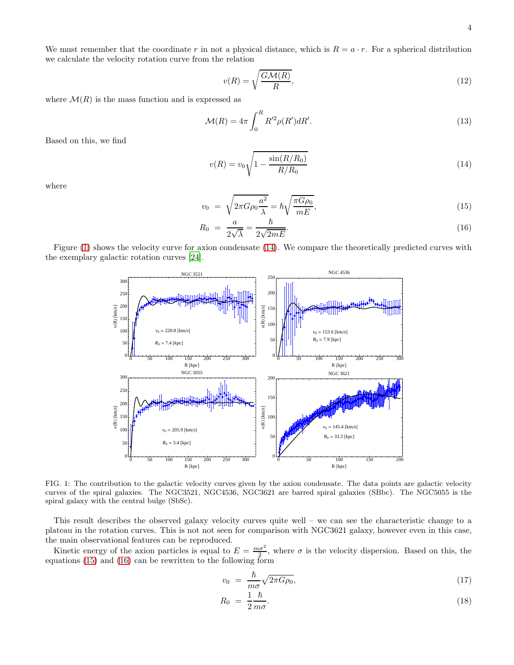We must remember that the coordinate r in not a physical distance, which is  $R = a \cdot r$ . For a spherical distribution we calculate the velocity rotation curve from the relation

<span id="page-3-4"></span>
$$
v(R) = \sqrt{\frac{G\mathcal{M}(R)}{R}},\tag{12}
$$

where  $\mathcal{M}(R)$  is the mass function and is expressed as

$$
\mathcal{M}(R) = 4\pi \int_0^R R'^2 \rho(R') dR'.
$$
\n(13)

Based on this, we find

<span id="page-3-1"></span>
$$
v(R) = v_0 \sqrt{1 - \frac{\sin(R/R_0)}{R/R_0}}
$$
\n(14)

where

<span id="page-3-2"></span>
$$
v_0 = \sqrt{2\pi G \rho_0 \frac{a^2}{\lambda}} = \hbar \sqrt{\frac{\pi G \rho_0}{mE}},\tag{15}
$$

$$
R_0 = \frac{a}{2\sqrt{\lambda}} = \frac{\hbar}{2\sqrt{2mE}}.\tag{16}
$$

Figure [\(1\)](#page-3-0) shows the velocity curve for axion condensate [\(14\)](#page-3-1). We compare the theoretically predicted curves with the exemplary galactic rotation curves [\[24](#page-8-3)].



<span id="page-3-0"></span>FIG. 1: The contribution to the galactic velocity curves given by the axion condensate. The data points are galactic velocity curves of the spiral galaxies. The NGC3521, NGC4536, NGC3621 are barred spiral galaxies (SBbc). The NGC5055 is the spiral galaxy with the central bulge (SbSc).

This result describes the observed galaxy velocity curves quite well – we can see the characteristic change to a plateau in the rotation curves. This is not not seen for comparison with NGC3621 galaxy, however even in this case, the main observational features can be reproduced.

Kinetic energy of the axion particles is equal to  $E = \frac{m\sigma^2}{2}$ , where  $\sigma$  is the velocity dispersion. Based on this, the equations [\(15\)](#page-3-2) and [\(16\)](#page-3-2) can be rewritten to the following form

<span id="page-3-3"></span>
$$
v_0 = \frac{\hbar}{m\sigma} \sqrt{2\pi G \rho_0},\tag{17}
$$

$$
R_0 = \frac{1}{2} \frac{\hbar}{m \sigma}.
$$
\n<sup>(18)</sup>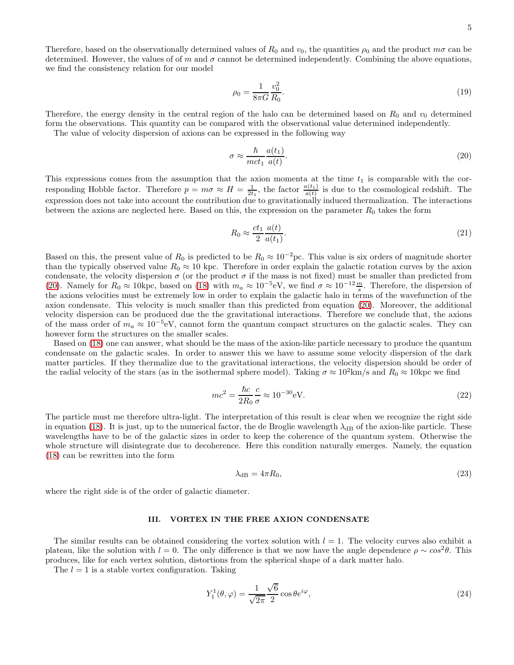Therefore, based on the observationally determined values of  $R_0$  and  $v_0$ , the quantities  $\rho_0$  and the product  $m\sigma$  can be determined. However, the values of of m and  $\sigma$  cannot be determined independently. Combining the above equations, we find the consistency relation for our model

$$
\rho_0 = \frac{1}{8\pi G} \frac{v_0^2}{R_0}.
$$
\n(19)

Therefore, the energy density in the central region of the halo can be determined based on  $R_0$  and  $v_0$  determined form the observations. This quantity can be compared with the observational value determined independently.

The value of velocity dispersion of axions can be expressed in the following way

<span id="page-4-0"></span>
$$
\sigma \approx \frac{\hbar}{mct_1} \frac{a(t_1)}{a(t)}.\tag{20}
$$

This expressions comes from the assumption that the axion momenta at the time  $t_1$  is comparable with the corresponding Hobble factor. Therefore  $p = m\sigma \approx H = \frac{1}{2t_1}$ , the factor  $\frac{a(t_1)}{a(t)}$  is due to the cosmological redshift. The expression does not take into account the contribution due to gravitationally induced thermalization. The interactions between the axions are neglected here. Based on this, the expression on the parameter  $R_0$  takes the form

$$
R_0 \approx \frac{ct_1}{2} \frac{a(t)}{a(t_1)}.\tag{21}
$$

Based on this, the present value of  $R_0$  is predicted to be  $R_0 \approx 10^{-2}$  pc. This value is six orders of magnitude shorter than the typically observed value  $R_0 \approx 10$  kpc. Therefore in order explain the galactic rotation curves by the axion condensate, the velocity dispersion  $\sigma$  (or the product  $\sigma$  if the mass is not fixed) must be smaller than predicted from [\(20\)](#page-4-0). Namely for  $R_0 \approx 10$ kpc, based on [\(18\)](#page-3-3) with  $m_a \approx 10^{-5}$ eV, we find  $\sigma \approx 10^{-12} \frac{m}{s}$ . Therefore, the dispersion of the axions velocities must be extremely low in order to explain the galactic halo in terms of the wavefunction of the axion condensate. This velocity is much smaller than this predicted from equation [\(20\)](#page-4-0). Moreover, the additional velocity dispersion can be produced due the the gravitational interactions. Therefore we conclude that, the axions of the mass order of  $m_a \approx 10^{-5}$ eV, cannot form the quantum compact structures on the galactic scales. They can however form the structures on the smaller scales.

Based on [\(18\)](#page-3-3) one can answer, what should be the mass of the axion-like particle necessary to produce the quantum condensate on the galactic scales. In order to answer this we have to assume some velocity dispersion of the dark matter particles. If they thermalize due to the gravitational interactions, the velocity dispersion should be order of the radial velocity of the stars (as in the isothermal sphere model). Taking  $\sigma \approx 10^2 \text{km/s}$  and  $R_0 \approx 10 \text{kpc}$  we find

$$
mc^2 = \frac{\hbar c}{2R_0} \frac{c}{\sigma} \approx 10^{-30} \text{eV}.
$$
\n(22)

The particle must me therefore ultra-light. The interpretation of this result is clear when we recognize the right side in equation [\(18\)](#page-3-3). It is just, up to the numerical factor, the de Broglie wavelength  $\lambda_{dB}$  of the axion-like particle. These wavelengths have to be of the galactic sizes in order to keep the coherence of the quantum system. Otherwise the whole structure will disintegrate due to decoherence. Here this condition naturally emerges. Namely, the equation [\(18\)](#page-3-3) can be rewritten into the form

$$
\lambda_{\rm dB} = 4\pi R_0,\tag{23}
$$

where the right side is of the order of galactic diameter.

# III. VORTEX IN THE FREE AXION CONDENSATE

The similar results can be obtained considering the vortex solution with  $l = 1$ . The velocity curves also exhibit a plateau, like the solution with  $l = 0$ . The only difference is that we now have the angle dependence  $\rho \sim \cos^2 \theta$ . This produces, like for each vertex solution, distortions from the spherical shape of a dark matter halo.

The  $l = 1$  is a stable vortex configuration. Taking

$$
Y_1^1(\theta, \varphi) = \frac{1}{\sqrt{2\pi}} \frac{\sqrt{6}}{2} \cos \theta e^{i\varphi}, \qquad (24)
$$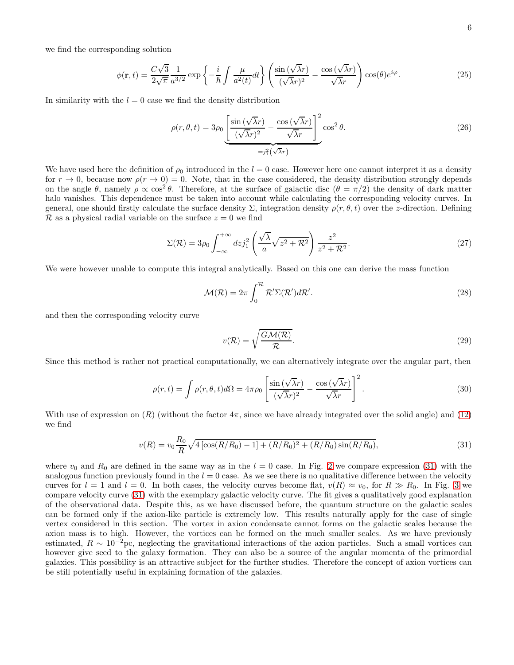$$
\phi(\mathbf{r},t) = \frac{C\sqrt{3}}{2\sqrt{\pi}} \frac{1}{a^{3/2}} \exp\left\{-\frac{i}{\hbar} \int \frac{\mu}{a^2(t)} dt\right\} \left(\frac{\sin(\sqrt{\lambda}r)}{(\sqrt{\lambda}r)^2} - \frac{\cos(\sqrt{\lambda}r)}{\sqrt{\lambda}r}\right) \cos(\theta) e^{i\varphi}.\tag{25}
$$

In similarity with the  $l = 0$  case we find the density distribution

$$
\rho(r,\theta,t) = 3\rho_0 \underbrace{\left[\frac{\sin(\sqrt{\lambda}r)}{(\sqrt{\lambda}r)^2} - \frac{\cos(\sqrt{\lambda}r)}{\sqrt{\lambda}r}\right]^2}_{=j_1^2(\sqrt{\lambda}r)} \cos^2\theta.
$$
\n(26)

We have used here the definition of  $\rho_0$  introduced in the  $l = 0$  case. However here one cannot interpret it as a density for  $r \to 0$ , because now  $\rho(r \to 0) = 0$ . Note, that in the case considered, the density distribution strongly depends on the angle  $\theta$ , namely  $\rho \propto \cos^2 \theta$ . Therefore, at the surface of galactic disc  $(\theta = \pi/2)$  the density of dark matter halo vanishes. This dependence must be taken into account while calculating the corresponding velocity curves. In general, one should firstly calculate the surface density  $\Sigma$ , integration density  $\rho(r, \theta, t)$  over the z-direction. Defining  $\mathcal R$  as a physical radial variable on the surface  $z = 0$  we find

$$
\Sigma(\mathcal{R}) = 3\rho_0 \int_{-\infty}^{+\infty} dz j_1^2 \left( \frac{\sqrt{\lambda}}{a} \sqrt{z^2 + \mathcal{R}^2} \right) \frac{z^2}{z^2 + \mathcal{R}^2}.
$$
 (27)

We were however unable to compute this integral analytically. Based on this one can derive the mass function

$$
\mathcal{M}(\mathcal{R}) = 2\pi \int_0^{\mathcal{R}} \mathcal{R}' \Sigma(\mathcal{R}') d\mathcal{R}'.
$$
\n(28)

and then the corresponding velocity curve

$$
v(\mathcal{R}) = \sqrt{\frac{G\mathcal{M}(\mathcal{R})}{\mathcal{R}}}.
$$
\n(29)

Since this method is rather not practical computationally, we can alternatively integrate over the angular part, then

$$
\rho(r,t) = \int \rho(r,\theta,t)d\Omega = 4\pi\rho_0 \left[ \frac{\sin(\sqrt{\lambda}r)}{(\sqrt{\lambda}r)^2} - \frac{\cos(\sqrt{\lambda}r)}{\sqrt{\lambda}r} \right]^2.
$$
\n(30)

With use of expression on  $(R)$  (without the factor  $4\pi$ , since we have already integrated over the solid angle) and [\(12\)](#page-3-4) we find

<span id="page-5-0"></span>
$$
v(R) = v_0 \frac{R_0}{R} \sqrt{4 \left[ \cos(R/R_0) - 1 \right] + (R/R_0)^2 + (R/R_0) \sin(R/R_0)},
$$
\n(31)

where  $v_0$  and  $R_0$  are defined in the same way as in the  $l = 0$  case. In Fig. [2](#page-6-0) we compare expression [\(31\)](#page-5-0) with the analogous function previously found in the  $l = 0$  case. As we see there is no qualitative difference between the velocity curves for  $l = 1$  and  $l = 0$ . In both cases, the velocity curves become flat,  $v(R) \approx v_0$ , for  $R \gg R_0$ . In Fig. [3](#page-6-1) we compare velocity curve [\(31\)](#page-5-0) with the exemplary galactic velocity curve. The fit gives a qualitatively good explanation of the observational data. Despite this, as we have discussed before, the quantum structure on the galactic scales can be formed only if the axion-like particle is extremely low. This results naturally apply for the case of single vertex considered in this section. The vortex in axion condensate cannot forms on the galactic scales because the axion mass is to high. However, the vortices can be formed on the much smaller scales. As we have previously estimated,  $R \sim 10^{-2}$ pc, neglecting the gravitational interactions of the axion particles. Such a small vortices can however give seed to the galaxy formation. They can also be a source of the angular momenta of the primordial galaxies. This possibility is an attractive subject for the further studies. Therefore the concept of axion vortices can be still potentially useful in explaining formation of the galaxies.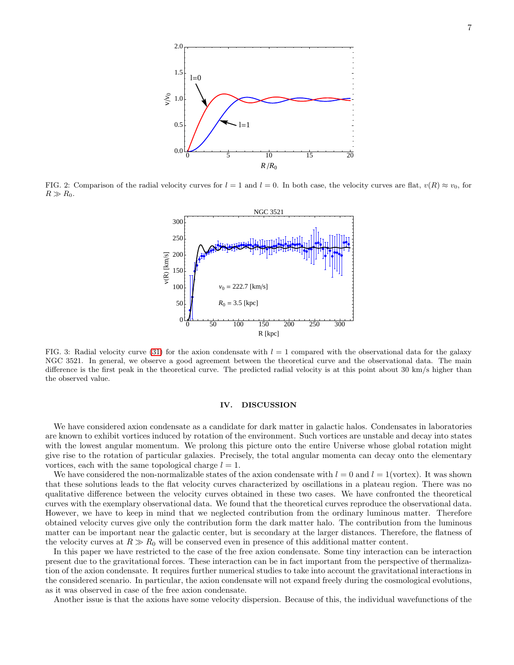

<span id="page-6-0"></span>FIG. 2: Comparison of the radial velocity curves for  $l = 1$  and  $l = 0$ . In both case, the velocity curves are flat,  $v(R) \approx v_0$ , for  $R \gg R_0$ .



<span id="page-6-1"></span>FIG. 3: Radial velocity curve [\(31\)](#page-5-0) for the axion condensate with  $l = 1$  compared with the observational data for the galaxy NGC 3521. In general, we observe a good agreement between the theoretical curve and the observational data. The main difference is the first peak in the theoretical curve. The predicted radial velocity is at this point about 30 km/s higher than the observed value.

# IV. DISCUSSION

We have considered axion condensate as a candidate for dark matter in galactic halos. Condensates in laboratories are known to exhibit vortices induced by rotation of the environment. Such vortices are unstable and decay into states with the lowest angular momentum. We prolong this picture onto the entire Universe whose global rotation might give rise to the rotation of particular galaxies. Precisely, the total angular momenta can decay onto the elementary vortices, each with the same topological charge  $l = 1$ .

We have considered the non-normalizable states of the axion condensate with  $l = 0$  and  $l = 1$ (vortex). It was shown that these solutions leads to the flat velocity curves characterized by oscillations in a plateau region. There was no qualitative difference between the velocity curves obtained in these two cases. We have confronted the theoretical curves with the exemplary observational data. We found that the theoretical curves reproduce the observational data. However, we have to keep in mind that we neglected contribution from the ordinary luminous matter. Therefore obtained velocity curves give only the contribution form the dark matter halo. The contribution from the luminous matter can be important near the galactic center, but is secondary at the larger distances. Therefore, the flatness of the velocity curves at  $R \gg R_0$  will be conserved even in presence of this additional matter content.

In this paper we have restricted to the case of the free axion condensate. Some tiny interaction can be interaction present due to the gravitational forces. These interaction can be in fact important from the perspective of thermalization of the axion condensate. It requires further numerical studies to take into account the gravitational interactions in the considered scenario. In particular, the axion condensate will not expand freely during the cosmological evolutions, as it was observed in case of the free axion condensate.

Another issue is that the axions have some velocity dispersion. Because of this, the individual wavefunctions of the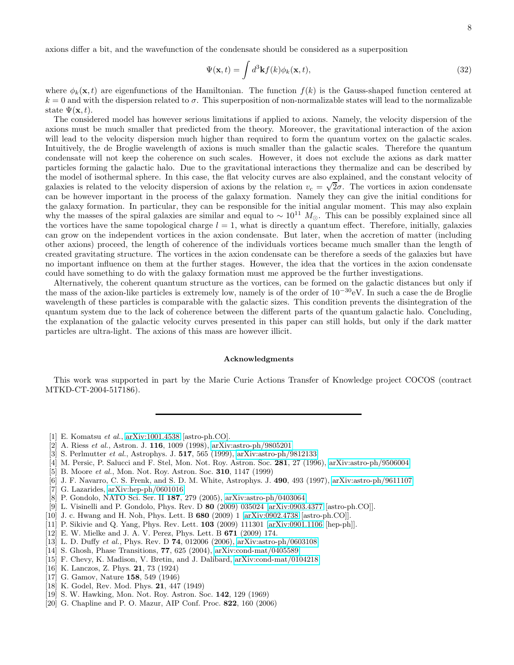axions differ a bit, and the wavefunction of the condensate should be considered as a superposition

$$
\Psi(\mathbf{x},t) = \int d^3 \mathbf{k} f(k) \phi_k(\mathbf{x},t),\tag{32}
$$

where  $\phi_k(\mathbf{x}, t)$  are eigenfunctions of the Hamiltonian. The function  $f(k)$  is the Gauss-shaped function centered at  $k = 0$  and with the dispersion related to  $\sigma$ . This superposition of non-normalizable states will lead to the normalizable state  $\Psi(\mathbf{x},t)$ .

The considered model has however serious limitations if applied to axions. Namely, the velocity dispersion of the axions must be much smaller that predicted from the theory. Moreover, the gravitational interaction of the axion will lead to the velocity dispersion much higher than required to form the quantum vortex on the galactic scales. Intuitively, the de Broglie wavelength of axions is much smaller than the galactic scales. Therefore the quantum condensate will not keep the coherence on such scales. However, it does not exclude the axions as dark matter particles forming the galactic halo. Due to the gravitational interactions they thermalize and can be described by the model of isothermal sphere. In this case, the flat velocity curves are also explained, and the constant velocity of galaxies is related to the velocity dispersion of axions by the relation  $v_c = \sqrt{2}\sigma$ . The vortices in axion condensate can be however important in the process of the galaxy formation. Namely they can give the initial conditions for the galaxy formation. In particular, they can be responsible for the initial angular moment. This may also explain why the masses of the spiral galaxies are similar and equal to  $\sim 10^{11} M_{\odot}$ . This can be possibly explained since all the vortices have the same topological charge  $l = 1$ , what is directly a quantum effect. Therefore, initially, galaxies can grow on the independent vortices in the axion condensate. But later, when the accretion of matter (including other axions) proceed, the length of coherence of the individuals vortices became much smaller than the length of created gravitating structure. The vortices in the axion condensate can be therefore a seeds of the galaxies but have no important influence on them at the further stages. However, the idea that the vortices in the axion condensate could have something to do with the galaxy formation must me approved be the further investigations.

Alternatively, the coherent quantum structure as the vortices, can be formed on the galactic distances but only if the mass of the axion-like particles is extremely low, namely is of the order of  $10^{-30}$ eV. In such a case the de Broglie wavelength of these particles is comparable with the galactic sizes. This condition prevents the disintegration of the quantum system due to the lack of coherence between the different parts of the quantum galactic halo. Concluding, the explanation of the galactic velocity curves presented in this paper can still holds, but only if the dark matter particles are ultra-light. The axions of this mass are however illicit.

# Acknowledgments

This work was supported in part by the Marie Curie Actions Transfer of Knowledge project COCOS (contract MTKD-CT-2004-517186).

- <span id="page-7-0"></span>[1] E. Komatsu et al., [arXiv:1001.4538](http://arxiv.org/abs/1001.4538) [astro-ph.CO].
- <span id="page-7-1"></span>[2] A. Riess et al., Astron. J. 116, 1009 (1998), [arXiv:astro-ph/9805201](http://arxiv.org/abs/astro-ph/9805201)
- <span id="page-7-2"></span>[3] S. Perlmutter et al., Astrophys. J. 517, 565 (1999), [arXiv:astro-ph/9812133](http://arxiv.org/abs/astro-ph/9812133)
- <span id="page-7-3"></span>[4] M. Persic, P. Salucci and F. Stel, Mon. Not. Roy. Astron. Soc. 281, 27 (1996), [arXiv:astro-ph/9506004](http://arxiv.org/abs/astro-ph/9506004)
- <span id="page-7-4"></span>[5] B. Moore et al., Mon. Not. Roy. Astron. Soc. **310**, 1147 (1999)
- <span id="page-7-5"></span>[6] J. F. Navarro, C. S. Frenk, and S. D. M. White, Astrophys. J. 490, 493 (1997), [arXiv:astro-ph/9611107](http://arxiv.org/abs/astro-ph/9611107)
- <span id="page-7-6"></span>[7] G. Lazarides, [arXiv:hep-ph/0601016](http://arxiv.org/abs/hep-ph/0601016)
- [8] P. Gondolo, NATO Sci. Ser. II 187, 279 (2005), [arXiv:astro-ph/0403064](http://arxiv.org/abs/astro-ph/0403064)
- [9] L. Visinelli and P. Gondolo, Phys. Rev. D 80 (2009) 035024 [\[arXiv:0903.4377](http://arxiv.org/abs/0903.4377) [astro-ph.CO]].
- <span id="page-7-7"></span>[10] J. c. Hwang and H. Noh, Phys. Lett. B 680 (2009) 1 [\[arXiv:0902.4738](http://arxiv.org/abs/0902.4738) [astro-ph.CO]].
- <span id="page-7-8"></span>[11] P. Sikivie and Q. Yang, Phys. Rev. Lett. **103** (2009) 111301 [\[arXiv:0901.1106](http://arxiv.org/abs/0901.1106) [hep-ph]].
- <span id="page-7-9"></span>[12] E. W. Mielke and J. A. V. Perez, Phys. Lett. B 671 (2009) 174.
- <span id="page-7-10"></span>[13] L. D. Duffy et al., Phys. Rev. D 74, 012006 (2006), [arXiv:astro-ph/0603108](http://arxiv.org/abs/astro-ph/0603108)
- <span id="page-7-11"></span>[14] S. Ghosh, Phase Transitions, 77, 625 (2004), [arXiv:cond-mat/0405589](http://arxiv.org/abs/cond-mat/0405589)
- <span id="page-7-12"></span>[15] F. Chevy, K. Madison, V. Bretin, and J. Dalibard, [arXiv:cond-mat/0104218](http://arxiv.org/abs/cond-mat/0104218)
- <span id="page-7-13"></span>[16] K. Lanczos, Z. Phys. 21, 73 (1924)
- <span id="page-7-14"></span>[17] G. Gamov, Nature **158**, 549 (1946)
- <span id="page-7-15"></span>[18] K. Godel, Rev. Mod. Phys. 21, 447 (1949)
- <span id="page-7-16"></span>[19] S. W. Hawking, Mon. Not. Roy. Astron. Soc. 142, 129 (1969)
- <span id="page-7-17"></span>[20] G. Chapline and P. O. Mazur, AIP Conf. Proc. 822, 160 (2006)